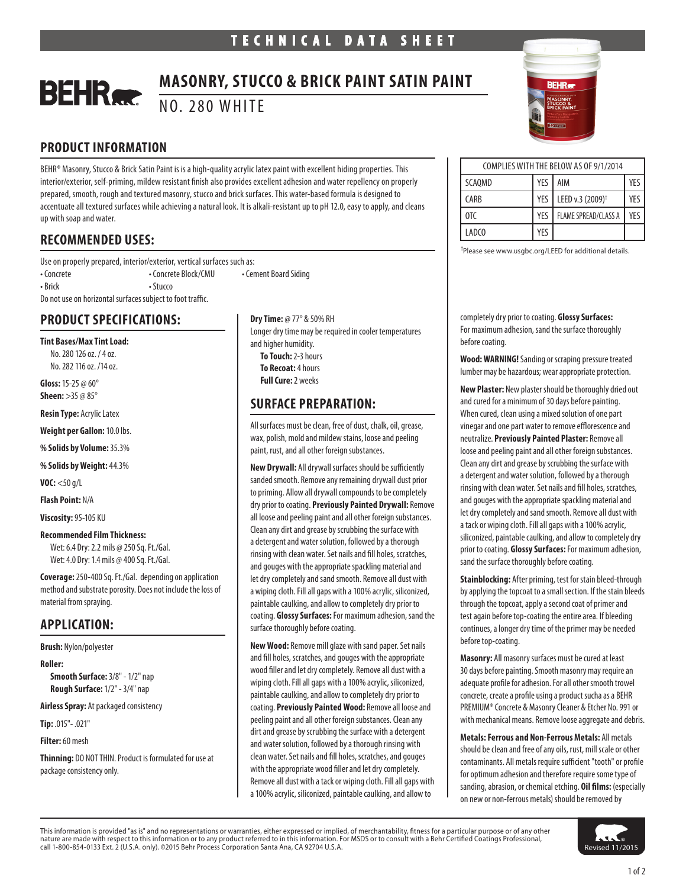### **MASONRY, STUCCO & BRICK PAINT SATIN PAINT BEHR** NO. 280 WHITE

# **PRODUCT INFORMATION**

BEHR® Masonry, Stucco & Brick Satin Paint is is a high-quality acrylic latex paint with excellent hiding properties. This interior/exterior, self-priming, mildew resistant finish also provides excellent adhesion and water repellency on properly prepared, smooth, rough and textured masonry, stucco and brick surfaces. This water-based formula is designed to accentuate all textured surfaces while achieving a natural look. It is alkali-resistant up to pH 12.0, easy to apply, and cleans up with soap and water.

# **RECOMMENDED USES:**

Use on properly prepared, interior/exterior, vertical surfaces such as: • Concrete Block/CMU • Concrete Block/CMU • Cement Board Siding • Brick • Stucco Do not use on horizontal surfaces subject to foot traffic.

# **PRODUCT SPECIFICATIONS:**

**Tint Bases/Max Tint Load:**

No. 280 126 oz. / 4 oz. No. 282 116 oz. /14 oz.

**Gloss:** 15-25 @ 60° **Sheen:** >35 @ 85°

**Resin Type:** Acrylic Latex

**Weight per Gallon:** 10.0 lbs.

**% Solids by Volume:** 35.3%

**% Solids by Weight:** 44.3%

**VOC:** <50 g/L

**Flash Point:** N/A

**Viscosity:** 95-105 KU

#### **Recommended Film Thickness:**

Wet: 6.4 Dry: 2.2 mils @ 250 Sq. Ft./Gal. Wet: 4.0 Dry: 1.4 mils @ 400 Sq. Ft./Gal.

**Coverage:** 250-400 Sq. Ft./Gal. depending on application method and substrate porosity. Does not include the loss of material from spraying.

# **APPLICATION:**

**Brush:** Nylon/polyester

**Roller:** 

**Smooth Surface:** 3/8" - 1/2" nap **Rough Surface:** 1/2" - 3/4" nap

**Airless Spray:** At packaged consistency

**Tip:** .015"- .021"

**Filter:** 60 mesh

**Thinning:** DO NOT THIN. Product is formulated for use at package consistency only.

**Dry Time:** @ 77° & 50% RH Longer dry time may be required in cooler temperatures and higher humidity. **To Touch:** 2-3 hours **To Recoat:** 4 hours **Full Cure:** 2 weeks

# **SURFACE PREPARATION:**

All surfaces must be clean, free of dust, chalk, oil, grease, wax, polish, mold and mildew stains, loose and peeling paint, rust, and all other foreign substances.

**New Drywall:** All drywall surfaces should be sufficiently sanded smooth. Remove any remaining drywall dust prior to priming. Allow all drywall compounds to be completely dry prior to coating. **Previously Painted Drywall:** Remove all loose and peeling paint and all other foreign substances. Clean any dirt and grease by scrubbing the surface with a detergent and water solution, followed by a thorough rinsing with clean water. Set nails and fill holes, scratches, and gouges with the appropriate spackling material and let dry completely and sand smooth. Remove all dust with a wiping cloth. Fill all gaps with a 100% acrylic, siliconized, paintable caulking, and allow to completely dry prior to coating. **Glossy Surfaces:** For maximum adhesion, sand the surface thoroughly before coating.

**New Wood:** Remove mill glaze with sand paper. Set nails and fill holes, scratches, and gouges with the appropriate wood filler and let dry completely. Remove all dust with a wiping cloth. Fill all gaps with a 100% acrylic, siliconized, paintable caulking, and allow to completely dry prior to coating. **Previously Painted Wood:** Remove all loose and peeling paint and all other foreign substances. Clean any dirt and grease by scrubbing the surface with a detergent and water solution, followed by a thorough rinsing with clean water. Set nails and fill holes, scratches, and gouges with the appropriate wood filler and let dry completely. Remove all dust with a tack or wiping cloth. Fill all gaps with a 100% acrylic, siliconized, paintable caulking, and allow to



| COMPLIES WITH THE BELOW AS OF 9/1/2014 |     |                              |     |
|----------------------------------------|-----|------------------------------|-----|
| SCAOMD                                 | YES | AIM                          | YFS |
| <b>CARB</b>                            | YES | LEED v.3 (2009) <sup>+</sup> | YFS |
| $0^{\circ}$                            | YES | <b>FLAME SPREAD/CLASS A</b>  | YFς |
| LADCO                                  | YFS |                              |     |

† Please see www.usgbc.org/LEED for additional details.

completely dry prior to coating. **Glossy Surfaces:** For maximum adhesion, sand the surface thoroughly before coating.

**Wood: WARNING!** Sanding or scraping pressure treated lumber may be hazardous; wear appropriate protection.

**New Plaster:** New plaster should be thoroughly dried out and cured for a minimum of 30 days before painting. When cured, clean using a mixed solution of one part vinegar and one part water to remove efflorescence and neutralize. **Previously Painted Plaster:** Remove all loose and peeling paint and all other foreign substances. Clean any dirt and grease by scrubbing the surface with a detergent and water solution, followed by a thorough rinsing with clean water. Set nails and fill holes, scratches, and gouges with the appropriate spackling material and let dry completely and sand smooth. Remove all dust with a tack or wiping cloth. Fill all gaps with a 100% acrylic, siliconized, paintable caulking, and allow to completely dry prior to coating. **Glossy Surfaces:** For maximum adhesion, sand the surface thoroughly before coating.

**Stainblocking:** After priming, test for stain bleed-through by applying the topcoat to a small section. If the stain bleeds through the topcoat, apply a second coat of primer and test again before top-coating the entire area. If bleeding continues, a longer dry time of the primer may be needed before top-coating.

**Masonry:** All masonry surfaces must be cured at least 30 days before painting. Smooth masonry may require an adequate profile for adhesion. For all other smooth trowel concrete, create a profile using a product sucha as a BEHR PREMIUM® Concrete & Masonry Cleaner & Etcher No. 991 or with mechanical means. Remove loose aggregate and debris.

**Metals: Ferrous and Non-Ferrous Metals:** All metals should be clean and free of any oils, rust, mill scale or other contaminants. All metals require sufficient "tooth" or profile for optimum adhesion and therefore require some type of sanding, abrasion, or chemical etching. **Oil films:** (especially on new or non-ferrous metals) should be removed by



This information is provided "as is" and no representations or warranties, either expressed or implied, of merchantability, fitness for a particular purpose or of any other and the state of any other serve in the state of